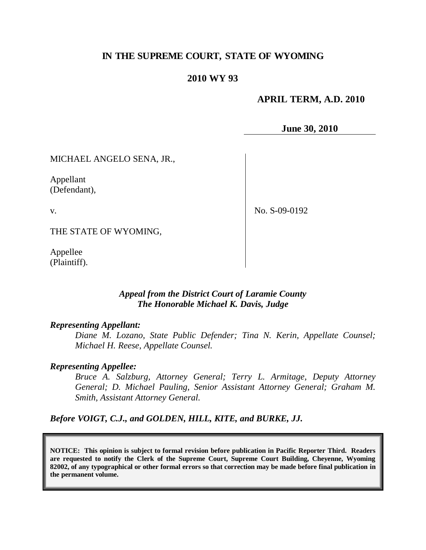## **IN THE SUPREME COURT, STATE OF WYOMING**

## **2010 WY 93**

### **APRIL TERM, A.D. 2010**

**June 30, 2010**

MICHAEL ANGELO SENA, JR.,

Appellant (Defendant),

v.

No. S-09-0192

THE STATE OF WYOMING,

Appellee (Plaintiff).

## *Appeal from the District Court of Laramie County The Honorable Michael K. Davis, Judge*

### *Representing Appellant:*

*Diane M. Lozano, State Public Defender; Tina N. Kerin, Appellate Counsel; Michael H. Reese, Appellate Counsel.*

### *Representing Appellee:*

*Bruce A. Salzburg, Attorney General; Terry L. Armitage, Deputy Attorney General; D. Michael Pauling, Senior Assistant Attorney General; Graham M. Smith, Assistant Attorney General.*

*Before VOIGT, C.J., and GOLDEN, HILL, KITE, and BURKE, JJ.*

**NOTICE: This opinion is subject to formal revision before publication in Pacific Reporter Third. Readers are requested to notify the Clerk of the Supreme Court, Supreme Court Building, Cheyenne, Wyoming 82002, of any typographical or other formal errors so that correction may be made before final publication in the permanent volume.**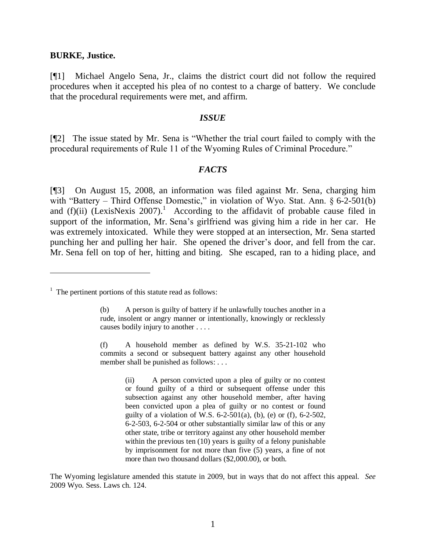#### **BURKE, Justice.**

[¶1] Michael Angelo Sena, Jr., claims the district court did not follow the required procedures when it accepted his plea of no contest to a charge of battery. We conclude that the procedural requirements were met, and affirm.

#### *ISSUE*

[¶2] The issue stated by Mr. Sena is "Whether the trial court failed to comply with the procedural requirements of Rule 11 of the Wyoming Rules of Criminal Procedure."

### *FACTS*

[¶3] On August 15, 2008, an information was filed against Mr. Sena, charging him with "Battery – Third Offense Domestic," in violation of Wyo. Stat. Ann. § 6-2-501(b) and  $(f)(ii)$  (LexisNexis 2007).<sup>1</sup> According to the affidavit of probable cause filed in support of the information, Mr. Sena"s girlfriend was giving him a ride in her car. He was extremely intoxicated. While they were stopped at an intersection, Mr. Sena started punching her and pulling her hair. She opened the driver"s door, and fell from the car. Mr. Sena fell on top of her, hitting and biting. She escaped, ran to a hiding place, and

The Wyoming legislature amended this statute in 2009, but in ways that do not affect this appeal. *See* 2009 Wyo. Sess. Laws ch. 124.

 $<sup>1</sup>$  The pertinent portions of this statute read as follows:</sup>

<sup>(</sup>b) A person is guilty of battery if he unlawfully touches another in a rude, insolent or angry manner or intentionally, knowingly or recklessly causes bodily injury to another . . . .

<sup>(</sup>f) A household member as defined by W.S. 35-21-102 who commits a second or subsequent battery against any other household member shall be punished as follows: ...

<sup>(</sup>ii) A person convicted upon a plea of guilty or no contest or found guilty of a third or subsequent offense under this subsection against any other household member, after having been convicted upon a plea of guilty or no contest or found guilty of a violation of W.S.  $6-2-501(a)$ , (b), (e) or (f),  $6-2-502$ , 6-2-503, 6-2-504 or other substantially similar law of this or any other state, tribe or territory against any other household member within the previous ten (10) years is guilty of a felony punishable by imprisonment for not more than five (5) years, a fine of not more than two thousand dollars (\$2,000.00), or both.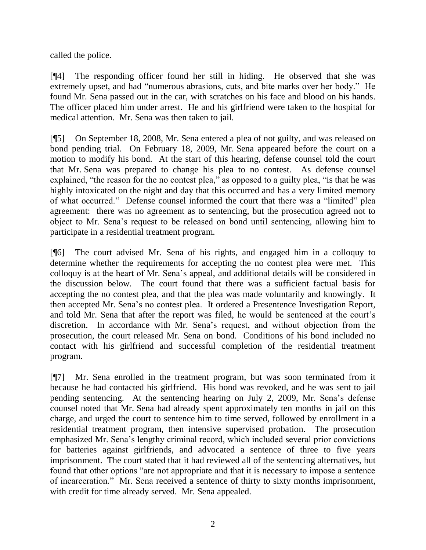called the police.

[¶4] The responding officer found her still in hiding. He observed that she was extremely upset, and had "numerous abrasions, cuts, and bite marks over her body." He found Mr. Sena passed out in the car, with scratches on his face and blood on his hands. The officer placed him under arrest. He and his girlfriend were taken to the hospital for medical attention. Mr. Sena was then taken to jail.

[¶5] On September 18, 2008, Mr. Sena entered a plea of not guilty, and was released on bond pending trial. On February 18, 2009, Mr. Sena appeared before the court on a motion to modify his bond. At the start of this hearing, defense counsel told the court that Mr. Sena was prepared to change his plea to no contest. As defense counsel explained, "the reason for the no contest plea," as opposed to a guilty plea, "is that he was highly intoxicated on the night and day that this occurred and has a very limited memory of what occurred." Defense counsel informed the court that there was a "limited" plea agreement: there was no agreement as to sentencing, but the prosecution agreed not to object to Mr. Sena"s request to be released on bond until sentencing, allowing him to participate in a residential treatment program.

[¶6] The court advised Mr. Sena of his rights, and engaged him in a colloquy to determine whether the requirements for accepting the no contest plea were met. This colloquy is at the heart of Mr. Sena"s appeal, and additional details will be considered in the discussion below. The court found that there was a sufficient factual basis for accepting the no contest plea, and that the plea was made voluntarily and knowingly. It then accepted Mr. Sena"s no contest plea. It ordered a Presentence Investigation Report, and told Mr. Sena that after the report was filed, he would be sentenced at the court's discretion. In accordance with Mr. Sena"s request, and without objection from the prosecution, the court released Mr. Sena on bond. Conditions of his bond included no contact with his girlfriend and successful completion of the residential treatment program.

[¶7] Mr. Sena enrolled in the treatment program, but was soon terminated from it because he had contacted his girlfriend. His bond was revoked, and he was sent to jail pending sentencing. At the sentencing hearing on July 2, 2009, Mr. Sena"s defense counsel noted that Mr. Sena had already spent approximately ten months in jail on this charge, and urged the court to sentence him to time served, followed by enrollment in a residential treatment program, then intensive supervised probation. The prosecution emphasized Mr. Sena"s lengthy criminal record, which included several prior convictions for batteries against girlfriends, and advocated a sentence of three to five years imprisonment. The court stated that it had reviewed all of the sentencing alternatives, but found that other options "are not appropriate and that it is necessary to impose a sentence of incarceration." Mr. Sena received a sentence of thirty to sixty months imprisonment, with credit for time already served. Mr. Sena appealed.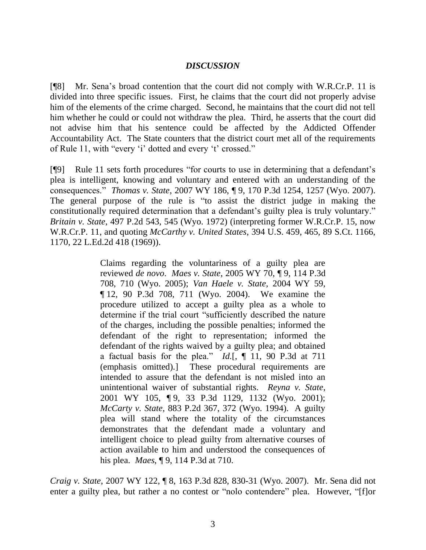## *DISCUSSION*

[¶8] Mr. Sena"s broad contention that the court did not comply with W.R.Cr.P. 11 is divided into three specific issues. First, he claims that the court did not properly advise him of the elements of the crime charged. Second, he maintains that the court did not tell him whether he could or could not withdraw the plea. Third, he asserts that the court did not advise him that his sentence could be affected by the Addicted Offender Accountability Act. The State counters that the district court met all of the requirements of Rule 11, with "every 'i' dotted and every 't' crossed."

[¶9] Rule 11 sets forth procedures "for courts to use in determining that a defendant"s plea is intelligent, knowing and voluntary and entered with an understanding of the consequences." *Thomas v. State*, 2007 WY 186, ¶ 9, 170 P.3d 1254, 1257 (Wyo. 2007). The general purpose of the rule is "to assist the district judge in making the constitutionally required determination that a defendant's guilty plea is truly voluntary." *Britain v. State*, 497 P.2d 543, 545 (Wyo. 1972) (interpreting former W.R.Cr.P. 15, now W.R.Cr.P. 11, and quoting *McCarthy v. United States*, 394 U.S. 459, 465, 89 S.Ct. 1166, 1170, 22 L.Ed.2d 418 (1969)).

> Claims regarding the voluntariness of a guilty plea are reviewed *de novo*. *Maes v. State*, 2005 WY 70, ¶ 9, 114 P.3d 708, 710 (Wyo. 2005); *Van Haele v. State*, 2004 WY 59, ¶ 12, 90 P.3d 708, 711 (Wyo. 2004). We examine the procedure utilized to accept a guilty plea as a whole to determine if the trial court "sufficiently described the nature of the charges, including the possible penalties; informed the defendant of the right to representation; informed the defendant of the rights waived by a guilty plea; and obtained a factual basis for the plea." *Id*.[, ¶ 11, 90 P.3d at 711 (emphasis omitted).] These procedural requirements are intended to assure that the defendant is not misled into an unintentional waiver of substantial rights. *Reyna v. State*, 2001 WY 105, ¶9, 33 P.3d 1129, 1132 (Wyo. 2001); *McCarty v. State*, 883 P.2d 367, 372 (Wyo. 1994). A guilty plea will stand where the totality of the circumstances demonstrates that the defendant made a voluntary and intelligent choice to plead guilty from alternative courses of action available to him and understood the consequences of his plea. *Maes*, ¶ 9, 114 P.3d at 710.

*Craig v. State*, 2007 WY 122, ¶ 8, 163 P.3d 828, 830-31 (Wyo. 2007). Mr. Sena did not enter a guilty plea, but rather a no contest or "nolo contendere" plea. However, "[f]or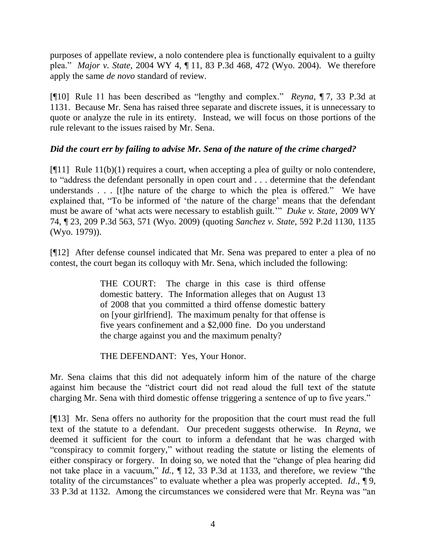purposes of appellate review, a nolo contendere plea is functionally equivalent to a guilty plea." *Major v. State*, 2004 WY 4, ¶ 11, 83 P.3d 468, 472 (Wyo. 2004). We therefore apply the same *de novo* standard of review.

[¶10] Rule 11 has been described as "lengthy and complex." *Reyna*, ¶ 7, 33 P.3d at 1131. Because Mr. Sena has raised three separate and discrete issues, it is unnecessary to quote or analyze the rule in its entirety. Instead, we will focus on those portions of the rule relevant to the issues raised by Mr. Sena.

## *Did the court err by failing to advise Mr. Sena of the nature of the crime charged?*

 $[$ [[11] Rule 11(b)(1) requires a court, when accepting a plea of guilty or nolo contendere, to "address the defendant personally in open court and . . . determine that the defendant understands . . . [t]he nature of the charge to which the plea is offered." We have explained that, "To be informed of 'the nature of the charge' means that the defendant must be aware of "what acts were necessary to establish guilt."" *Duke v. State*, 2009 WY 74, ¶ 23, 209 P.3d 563, 571 (Wyo. 2009) (quoting *Sanchez v. State*, 592 P.2d 1130, 1135 (Wyo. 1979)).

[¶12] After defense counsel indicated that Mr. Sena was prepared to enter a plea of no contest, the court began its colloquy with Mr. Sena, which included the following:

> THE COURT: The charge in this case is third offense domestic battery. The Information alleges that on August 13 of 2008 that you committed a third offense domestic battery on [your girlfriend]. The maximum penalty for that offense is five years confinement and a \$2,000 fine. Do you understand the charge against you and the maximum penalty?

THE DEFENDANT: Yes, Your Honor.

Mr. Sena claims that this did not adequately inform him of the nature of the charge against him because the "district court did not read aloud the full text of the statute charging Mr. Sena with third domestic offense triggering a sentence of up to five years."

[¶13] Mr. Sena offers no authority for the proposition that the court must read the full text of the statute to a defendant. Our precedent suggests otherwise. In *Reyna*, we deemed it sufficient for the court to inform a defendant that he was charged with "conspiracy to commit forgery," without reading the statute or listing the elements of either conspiracy or forgery. In doing so, we noted that the "change of plea hearing did not take place in a vacuum," *Id.*, ¶ 12, 33 P.3d at 1133, and therefore, we review "the totality of the circumstances" to evaluate whether a plea was properly accepted. *Id*., ¶ 9, 33 P.3d at 1132. Among the circumstances we considered were that Mr. Reyna was "an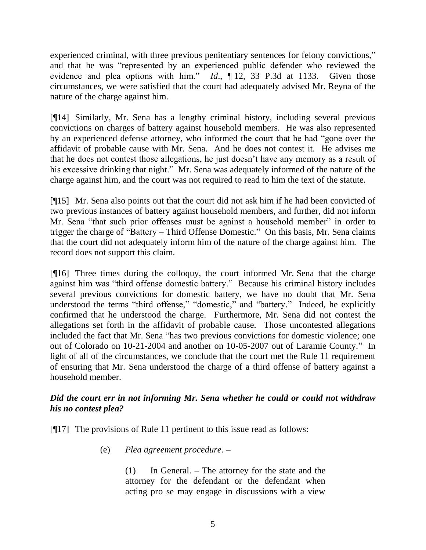experienced criminal, with three previous penitentiary sentences for felony convictions," and that he was "represented by an experienced public defender who reviewed the evidence and plea options with him." *Id*., ¶ 12, 33 P.3d at 1133. Given those circumstances, we were satisfied that the court had adequately advised Mr. Reyna of the nature of the charge against him.

[¶14] Similarly, Mr. Sena has a lengthy criminal history, including several previous convictions on charges of battery against household members. He was also represented by an experienced defense attorney, who informed the court that he had "gone over the affidavit of probable cause with Mr. Sena. And he does not contest it. He advises me that he does not contest those allegations, he just doesn"t have any memory as a result of his excessive drinking that night." Mr. Sena was adequately informed of the nature of the charge against him, and the court was not required to read to him the text of the statute.

[¶15] Mr. Sena also points out that the court did not ask him if he had been convicted of two previous instances of battery against household members, and further, did not inform Mr. Sena "that such prior offenses must be against a household member" in order to trigger the charge of "Battery – Third Offense Domestic." On this basis, Mr. Sena claims that the court did not adequately inform him of the nature of the charge against him. The record does not support this claim.

[¶16] Three times during the colloquy, the court informed Mr. Sena that the charge against him was "third offense domestic battery." Because his criminal history includes several previous convictions for domestic battery, we have no doubt that Mr. Sena understood the terms "third offense," "domestic," and "battery." Indeed, he explicitly confirmed that he understood the charge. Furthermore, Mr. Sena did not contest the allegations set forth in the affidavit of probable cause. Those uncontested allegations included the fact that Mr. Sena "has two previous convictions for domestic violence; one out of Colorado on 10-21-2004 and another on 10-05-2007 out of Laramie County." In light of all of the circumstances, we conclude that the court met the Rule 11 requirement of ensuring that Mr. Sena understood the charge of a third offense of battery against a household member.

# *Did the court err in not informing Mr. Sena whether he could or could not withdraw his no contest plea?*

[¶17] The provisions of Rule 11 pertinent to this issue read as follows:

(e) *Plea agreement procedure. –* 

(1) In General. – The attorney for the state and the attorney for the defendant or the defendant when acting pro se may engage in discussions with a view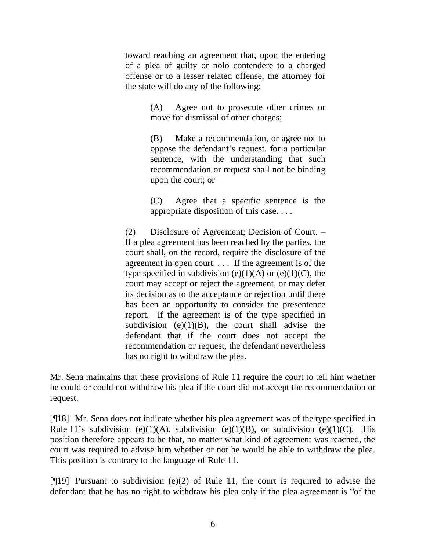toward reaching an agreement that, upon the entering of a plea of guilty or nolo contendere to a charged offense or to a lesser related offense, the attorney for the state will do any of the following:

> (A) Agree not to prosecute other crimes or move for dismissal of other charges;

> (B) Make a recommendation, or agree not to oppose the defendant"s request, for a particular sentence, with the understanding that such recommendation or request shall not be binding upon the court; or

> (C) Agree that a specific sentence is the appropriate disposition of this case. . . .

(2) Disclosure of Agreement; Decision of Court. – If a plea agreement has been reached by the parties, the court shall, on the record, require the disclosure of the agreement in open court. . . . If the agreement is of the type specified in subdivision (e)(1)(A) or (e)(1)(C), the court may accept or reject the agreement, or may defer its decision as to the acceptance or rejection until there has been an opportunity to consider the presentence report. If the agreement is of the type specified in subdivision (e) $(1)(B)$ , the court shall advise the defendant that if the court does not accept the recommendation or request, the defendant nevertheless has no right to withdraw the plea.

Mr. Sena maintains that these provisions of Rule 11 require the court to tell him whether he could or could not withdraw his plea if the court did not accept the recommendation or request.

[¶18] Mr. Sena does not indicate whether his plea agreement was of the type specified in Rule 11's subdivision (e)(1)(A), subdivision (e)(1)(B), or subdivision (e)(1)(C). His position therefore appears to be that, no matter what kind of agreement was reached, the court was required to advise him whether or not he would be able to withdraw the plea. This position is contrary to the language of Rule 11.

[¶19] Pursuant to subdivision (e)(2) of Rule 11, the court is required to advise the defendant that he has no right to withdraw his plea only if the plea agreement is "of the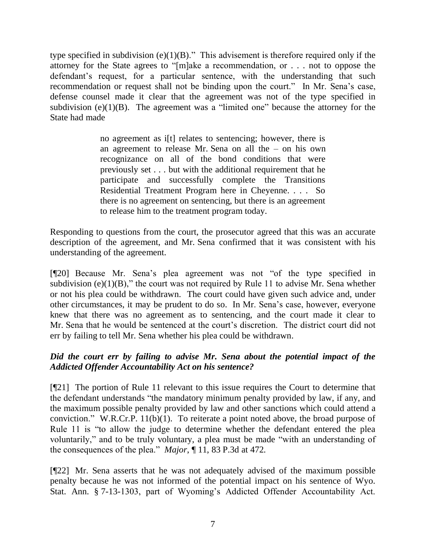type specified in subdivision (e) $(1)(B)$ ." This advisement is therefore required only if the attorney for the State agrees to "[m]ake a recommendation, or . . . not to oppose the defendant's request, for a particular sentence, with the understanding that such recommendation or request shall not be binding upon the court." In Mr. Sena"s case, defense counsel made it clear that the agreement was not of the type specified in subdivision  $(e)(1)(B)$ . The agreement was a "limited one" because the attorney for the State had made

> no agreement as i[t] relates to sentencing; however, there is an agreement to release Mr. Sena on all the – on his own recognizance on all of the bond conditions that were previously set . . . but with the additional requirement that he participate and successfully complete the Transitions Residential Treatment Program here in Cheyenne. . . . So there is no agreement on sentencing, but there is an agreement to release him to the treatment program today.

Responding to questions from the court, the prosecutor agreed that this was an accurate description of the agreement, and Mr. Sena confirmed that it was consistent with his understanding of the agreement.

[¶20] Because Mr. Sena"s plea agreement was not "of the type specified in subdivision (e) $(1)(B)$ ," the court was not required by Rule 11 to advise Mr. Sena whether or not his plea could be withdrawn. The court could have given such advice and, under other circumstances, it may be prudent to do so. In Mr. Sena"s case, however, everyone knew that there was no agreement as to sentencing, and the court made it clear to Mr. Sena that he would be sentenced at the court"s discretion. The district court did not err by failing to tell Mr. Sena whether his plea could be withdrawn.

# *Did the court err by failing to advise Mr. Sena about the potential impact of the Addicted Offender Accountability Act on his sentence?*

[¶21] The portion of Rule 11 relevant to this issue requires the Court to determine that the defendant understands "the mandatory minimum penalty provided by law, if any, and the maximum possible penalty provided by law and other sanctions which could attend a conviction." W.R.Cr.P. 11(b)(1). To reiterate a point noted above, the broad purpose of Rule 11 is "to allow the judge to determine whether the defendant entered the plea voluntarily," and to be truly voluntary, a plea must be made "with an understanding of the consequences of the plea." *Major*, ¶ 11, 83 P.3d at 472.

[¶22] Mr. Sena asserts that he was not adequately advised of the maximum possible penalty because he was not informed of the potential impact on his sentence of Wyo. Stat. Ann. § 7-13-1303, part of Wyoming's Addicted Offender Accountability Act.